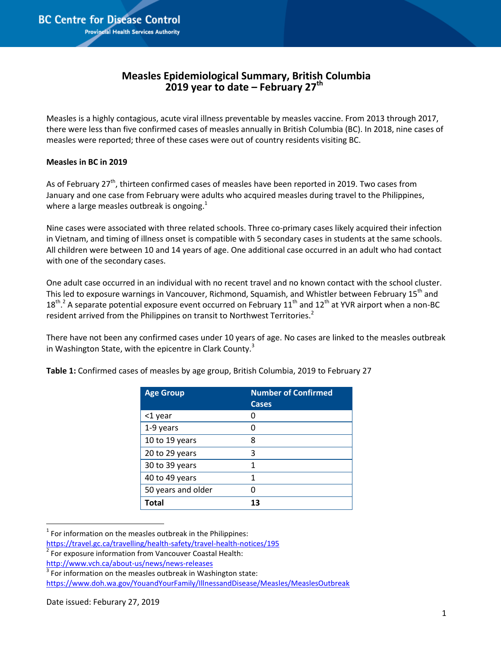## **Measles Epidemiological Summary, British Columbia 2019 year to date – February 27 th**

Measles is a highly contagious, acute viral illness preventable by measles vaccine. From 2013 through 2017, there were less than five confirmed cases of measles annually in British Columbia (BC). In 2018, nine cases of measles were reported; three of these cases were out of country residents visiting BC.

## **Measles in BC in 2019**

As of February 27<sup>th</sup>, thirteen confirmed cases of measles have been reported in 2019. Two cases from January and one case from February were adults who acquired measles during travel to the Philippines, where a large measles outbreak is ongoing.<sup>1</sup>

Nine cases were associated with three related schools. Three co-primary cases likely acquired their infection in Vietnam, and timing of illness onset is compatible with 5 secondary cases in students at the same schools. All children were between 10 and 14 years of age. One additional case occurred in an adult who had contact with one of the secondary cases.

One adult case occurred in an individual with no recent travel and no known contact with the school cluster. This led to exposure warnings in Vancouver, Richmond, Squamish, and Whistler between February 15<sup>th</sup> and  $18^{\text{th}}$ . A separate potential exposure event occurred on February  $11^{\text{th}}$  and  $12^{\text{th}}$  at YVR airport when a non-BC resident arrived from the Philippines on transit to Northwest Territories.<sup>2</sup>

There have not been any confirmed cases under 10 years of age. No cases are linked to the measles outbreak in Washington State, with the epicentre in Clark County.<sup>3</sup>

| <b>Age Group</b>   | <b>Number of Confirmed</b><br><b>Cases</b> |
|--------------------|--------------------------------------------|
| <1 year            | 0                                          |
| 1-9 years          | 0                                          |
| 10 to 19 years     | 8                                          |
| 20 to 29 years     | 3                                          |
| 30 to 39 years     | 1                                          |
| 40 to 49 years     | 1                                          |
| 50 years and older | 0                                          |
| <b>Total</b>       | 13                                         |

**Table 1:** Confirmed cases of measles by age group, British Columbia, 2019 to February 27

 $<sup>1</sup>$  For information on the measles outbreak in the Philippines:</sup>

l

<https://travel.gc.ca/travelling/health-safety/travel-health-notices/195>

<sup>&</sup>lt;sup>2</sup> For exposure information from Vancouver Coastal Health:

<http://www.vch.ca/about-us/news/news-releases>

 $3$  For information on the measles outbreak in Washington state: <https://www.doh.wa.gov/YouandYourFamily/IllnessandDisease/Measles/MeaslesOutbreak>